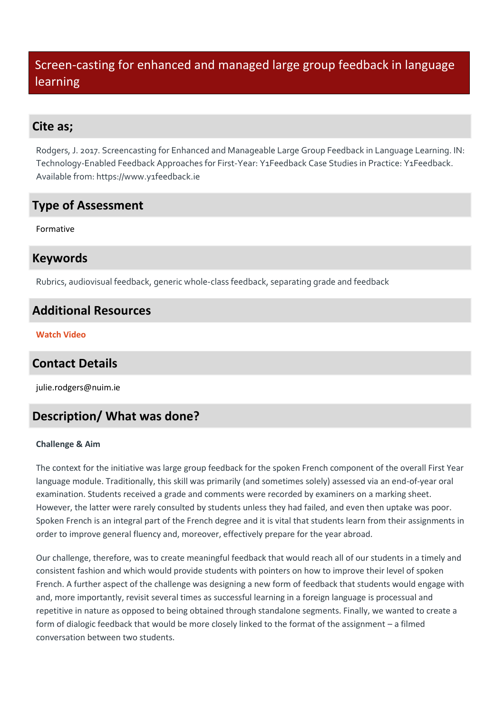# Screen-casting for enhanced and managed large group feedback in language learning

### **Cite as;**

Rodgers, J. 2017. Screencasting for Enhanced and Manageable Large Group Feedback in Language Learning. IN: Technology-Enabled Feedback Approaches for First-Year: Y1Feedback Case Studies in Practice: Y1Feedback. Available from: https://www.y1feedback.ie

## **Type of Assessment**

Formative

### **Keywords**

Rubrics, audiovisual feedback, generic whole-class feedback, separating grade and feedback

## **Additional Resources**

**[Watch Video](https://youtu.be/-fEH8gHcIEM)**

## **Contact Details**

julie.rodgers@nuim.ie

# **Description/ What was done?**

#### **Challenge & Aim**

The context for the initiative was large group feedback for the spoken French component of the overall First Year language module. Traditionally, this skill was primarily (and sometimes solely) assessed via an end-of-year oral examination. Students received a grade and comments were recorded by examiners on a marking sheet. However, the latter were rarely consulted by students unless they had failed, and even then uptake was poor. Spoken French is an integral part of the French degree and it is vital that students learn from their assignments in order to improve general fluency and, moreover, effectively prepare for the year abroad.

Our challenge, therefore, was to create meaningful feedback that would reach all of our students in a timely and consistent fashion and which would provide students with pointers on how to improve their level of spoken French. A further aspect of the challenge was designing a new form of feedback that students would engage with and, more importantly, revisit several times as successful learning in a foreign language is processual and repetitive in nature as opposed to being obtained through standalone segments. Finally, we wanted to create a form of dialogic feedback that would be more closely linked to the format of the assignment – a filmed conversation between two students.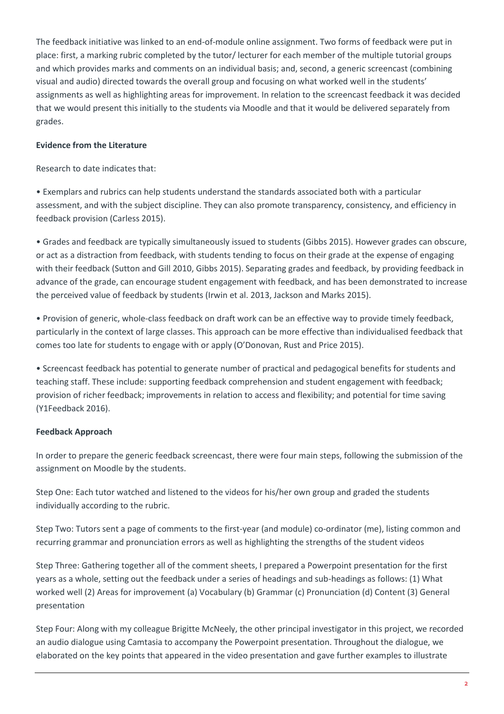The feedback initiative was linked to an end-of-module online assignment. Two forms of feedback were put in place: first, a marking rubric completed by the tutor/ lecturer for each member of the multiple tutorial groups and which provides marks and comments on an individual basis; and, second, a generic screencast (combining visual and audio) directed towards the overall group and focusing on what worked well in the students' assignments as well as highlighting areas for improvement. In relation to the screencast feedback it was decided that we would present this initially to the students via Moodle and that it would be delivered separately from grades.

#### **Evidence from the Literature**

Research to date indicates that:

• Exemplars and rubrics can help students understand the standards associated both with a particular assessment, and with the subject discipline. They can also promote transparency, consistency, and efficiency in feedback provision (Carless 2015).

• Grades and feedback are typically simultaneously issued to students (Gibbs 2015). However grades can obscure, or act as a distraction from feedback, with students tending to focus on their grade at the expense of engaging with their feedback (Sutton and Gill 2010, Gibbs 2015). Separating grades and feedback, by providing feedback in advance of the grade, can encourage student engagement with feedback, and has been demonstrated to increase the perceived value of feedback by students (Irwin et al. 2013, Jackson and Marks 2015).

• Provision of generic, whole-class feedback on draft work can be an effective way to provide timely feedback, particularly in the context of large classes. This approach can be more effective than individualised feedback that comes too late for students to engage with or apply (O'Donovan, Rust and Price 2015).

• Screencast feedback has potential to generate number of practical and pedagogical benefits for students and teaching staff. These include: supporting feedback comprehension and student engagement with feedback; provision of richer feedback; improvements in relation to access and flexibility; and potential for time saving (Y1Feedback 2016).

#### **Feedback Approach**

In order to prepare the generic feedback screencast, there were four main steps, following the submission of the assignment on Moodle by the students.

Step One: Each tutor watched and listened to the videos for his/her own group and graded the students individually according to the rubric.

Step Two: Tutors sent a page of comments to the first-year (and module) co-ordinator (me), listing common and recurring grammar and pronunciation errors as well as highlighting the strengths of the student videos

Step Three: Gathering together all of the comment sheets, I prepared a Powerpoint presentation for the first years as a whole, setting out the feedback under a series of headings and sub-headings as follows: (1) What worked well (2) Areas for improvement (a) Vocabulary (b) Grammar (c) Pronunciation (d) Content (3) General presentation

Step Four: Along with my colleague Brigitte McNeely, the other principal investigator in this project, we recorded an audio dialogue using Camtasia to accompany the Powerpoint presentation. Throughout the dialogue, we elaborated on the key points that appeared in the video presentation and gave further examples to illustrate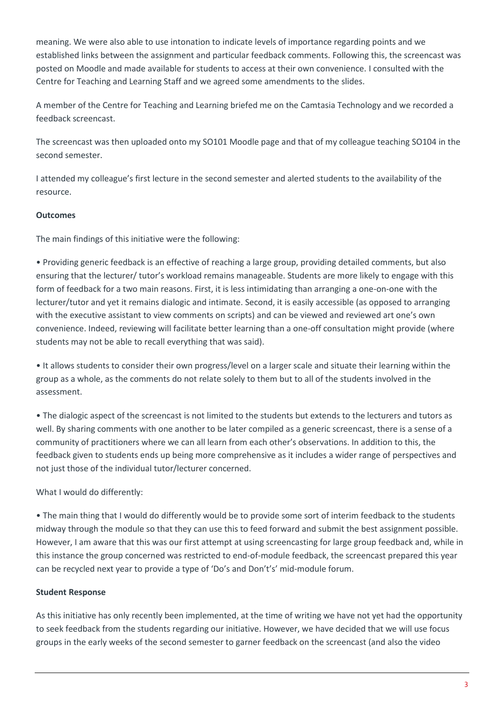meaning. We were also able to use intonation to indicate levels of importance regarding points and we established links between the assignment and particular feedback comments. Following this, the screencast was posted on Moodle and made available for students to access at their own convenience. I consulted with the Centre for Teaching and Learning Staff and we agreed some amendments to the slides.

A member of the Centre for Teaching and Learning briefed me on the Camtasia Technology and we recorded a feedback screencast.

The screencast was then uploaded onto my SO101 Moodle page and that of my colleague teaching SO104 in the second semester.

I attended my colleague's first lecture in the second semester and alerted students to the availability of the resource.

#### **Outcomes**

The main findings of this initiative were the following:

• Providing generic feedback is an effective of reaching a large group, providing detailed comments, but also ensuring that the lecturer/ tutor's workload remains manageable. Students are more likely to engage with this form of feedback for a two main reasons. First, it is less intimidating than arranging a one-on-one with the lecturer/tutor and yet it remains dialogic and intimate. Second, it is easily accessible (as opposed to arranging with the executive assistant to view comments on scripts) and can be viewed and reviewed art one's own convenience. Indeed, reviewing will facilitate better learning than a one-off consultation might provide (where students may not be able to recall everything that was said).

• It allows students to consider their own progress/level on a larger scale and situate their learning within the group as a whole, as the comments do not relate solely to them but to all of the students involved in the assessment.

• The dialogic aspect of the screencast is not limited to the students but extends to the lecturers and tutors as well. By sharing comments with one another to be later compiled as a generic screencast, there is a sense of a community of practitioners where we can all learn from each other's observations. In addition to this, the feedback given to students ends up being more comprehensive as it includes a wider range of perspectives and not just those of the individual tutor/lecturer concerned.

What I would do differently:

• The main thing that I would do differently would be to provide some sort of interim feedback to the students midway through the module so that they can use this to feed forward and submit the best assignment possible. However, I am aware that this was our first attempt at using screencasting for large group feedback and, while in this instance the group concerned was restricted to end-of-module feedback, the screencast prepared this year can be recycled next year to provide a type of 'Do's and Don't's' mid-module forum.

#### **Student Response**

As this initiative has only recently been implemented, at the time of writing we have not yet had the opportunity to seek feedback from the students regarding our initiative. However, we have decided that we will use focus groups in the early weeks of the second semester to garner feedback on the screencast (and also the video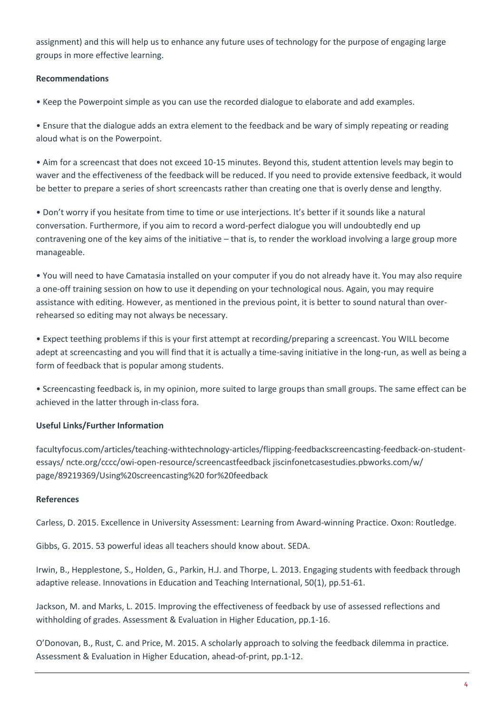assignment) and this will help us to enhance any future uses of technology for the purpose of engaging large groups in more effective learning.

#### **Recommendations**

• Keep the Powerpoint simple as you can use the recorded dialogue to elaborate and add examples.

• Ensure that the dialogue adds an extra element to the feedback and be wary of simply repeating or reading aloud what is on the Powerpoint.

• Aim for a screencast that does not exceed 10-15 minutes. Beyond this, student attention levels may begin to waver and the effectiveness of the feedback will be reduced. If you need to provide extensive feedback, it would be better to prepare a series of short screencasts rather than creating one that is overly dense and lengthy.

• Don't worry if you hesitate from time to time or use interjections. It's better if it sounds like a natural conversation. Furthermore, if you aim to record a word-perfect dialogue you will undoubtedly end up contravening one of the key aims of the initiative – that is, to render the workload involving a large group more manageable.

• You will need to have Camatasia installed on your computer if you do not already have it. You may also require a one-off training session on how to use it depending on your technological nous. Again, you may require assistance with editing. However, as mentioned in the previous point, it is better to sound natural than overrehearsed so editing may not always be necessary.

• Expect teething problems if this is your first attempt at recording/preparing a screencast. You WILL become adept at screencasting and you will find that it is actually a time-saving initiative in the long-run, as well as being a form of feedback that is popular among students.

• Screencasting feedback is, in my opinion, more suited to large groups than small groups. The same effect can be achieved in the latter through in-class fora.

#### **Useful Links/Further Information**

facultyfocus.com/articles/teaching-withtechnology-articles/flipping-feedbackscreencasting-feedback-on-studentessays/ ncte.org/cccc/owi-open-resource/screencastfeedback jiscinfonetcasestudies.pbworks.com/w/ page/89219369/Using%20screencasting%20 for%20feedback

#### **References**

Carless, D. 2015. Excellence in University Assessment: Learning from Award-winning Practice. Oxon: Routledge.

Gibbs, G. 2015. 53 powerful ideas all teachers should know about. SEDA.

Irwin, B., Hepplestone, S., Holden, G., Parkin, H.J. and Thorpe, L. 2013. Engaging students with feedback through adaptive release. Innovations in Education and Teaching International, 50(1), pp.51-61.

Jackson, M. and Marks, L. 2015. Improving the effectiveness of feedback by use of assessed reflections and withholding of grades. Assessment & Evaluation in Higher Education, pp.1-16.

O'Donovan, B., Rust, C. and Price, M. 2015. A scholarly approach to solving the feedback dilemma in practice. Assessment & Evaluation in Higher Education, ahead-of-print, pp.1-12.